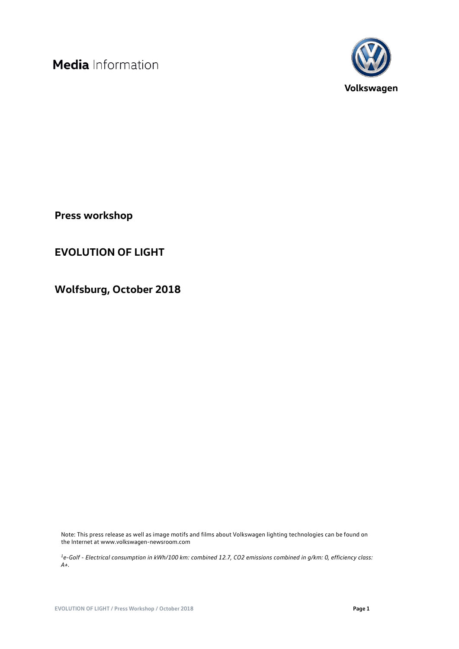

**Press workshop**

## **EVOLUTION OF LIGHT**

**Wolfsburg, October 2018**

Note: This press release as well as image motifs and films about Volkswagen lighting technologies can be found on the Internet at www.volkswagen-newsroom.com

*<sup>1</sup>e-Golf - Electrical consumption in kWh/100 km: combined 12.7, CO2 emissions combined in g/km: 0, efficiency class: A+.*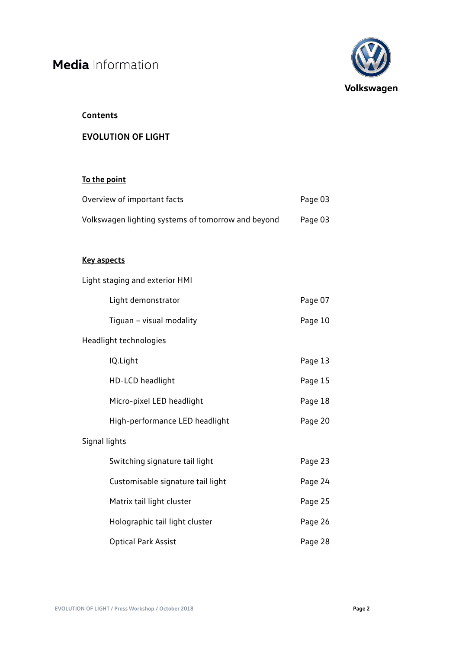

### **Contents**

## **EVOLUTION OF LIGHT**

## **To the point**

| Overview of important facts                        | Page 03 |
|----------------------------------------------------|---------|
| Volkswagen lighting systems of tomorrow and beyond | Page 03 |

### **Key aspects**

|                        | Light staging and exterior HMI    |         |  |
|------------------------|-----------------------------------|---------|--|
|                        | Light demonstrator                | Page 07 |  |
|                        | Tiguan - visual modality          | Page 10 |  |
| Headlight technologies |                                   |         |  |
|                        | IQ.Light                          | Page 13 |  |
|                        | HD-LCD headlight                  | Page 15 |  |
|                        | Micro-pixel LED headlight         | Page 18 |  |
|                        | High-performance LED headlight    | Page 20 |  |
| Signal lights          |                                   |         |  |
|                        | Switching signature tail light    | Page 23 |  |
|                        | Customisable signature tail light | Page 24 |  |
|                        | Matrix tail light cluster         | Page 25 |  |
|                        | Holographic tail light cluster    | Page 26 |  |
|                        | <b>Optical Park Assist</b>        | Page 28 |  |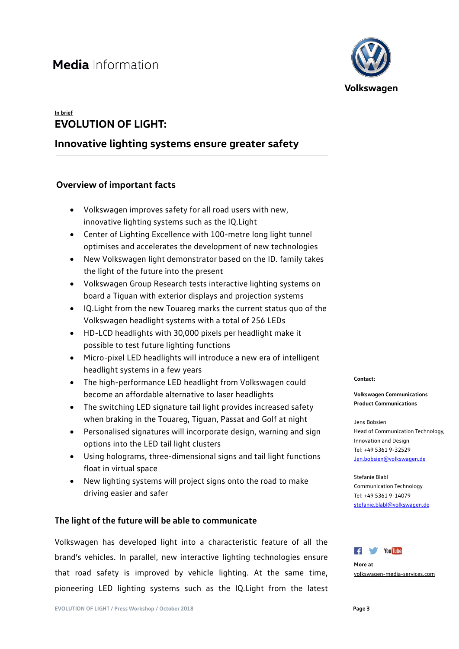## **In brief EVOLUTION OF LIGHT:**

## **Innovative lighting systems ensure greater safety**

### **Overview of important facts**

- Volkswagen improves safety for all road users with new, innovative lighting systems such as the IQ.Light
- Center of Lighting Excellence with 100-metre long light tunnel optimises and accelerates the development of new technologies
- New Volkswagen light demonstrator based on the ID. family takes the light of the future into the present
- Volkswagen Group Research tests interactive lighting systems on board a Tiguan with exterior displays and projection systems
- IQ.Light from the new Touareg marks the current status quo of the Volkswagen headlight systems with a total of 256 LEDs
- HD-LCD headlights with 30,000 pixels per headlight make it possible to test future lighting functions
- Micro-pixel LED headlights will introduce a new era of intelligent headlight systems in a few years
- The high-performance LED headlight from Volkswagen could become an affordable alternative to laser headlights
- The switching LED signature tail light provides increased safety when braking in the Touareg, Tiguan, Passat and Golf at night
- Personalised signatures will incorporate design, warning and sign options into the LED tail light clusters
- Using holograms, three-dimensional signs and tail light functions float in virtual space
- New lighting systems will project signs onto the road to make driving easier and safer

### **The light of the future will be able to communicate**

Volkswagen has developed light into a characteristic feature of all the brand's vehicles. In parallel, new interactive lighting technologies ensure that road safety is improved by vehicle lighting. At the same time, pioneering LED lighting systems such as the IQ.Light from the latest



#### **Contact:**

**Volkswagen Communications Product Communications**

#### Jens Bobsien Head of Communication Technology, Innovation and Design Tel: +49 5361 9-32529 [Jen.bobsien@volkswagen.de](mailto:Jen.bobsien@volkswagen.de)

Stefanie Blabl Communication Technology Tel: +49 5361 9-14079 [stefanie.blabl@volkswagen.de](mailto:stefanie.blabl@volkswagen.de)



**More at** [volkswagen-media-services.com](https://www.volkswagen-media-services.com/)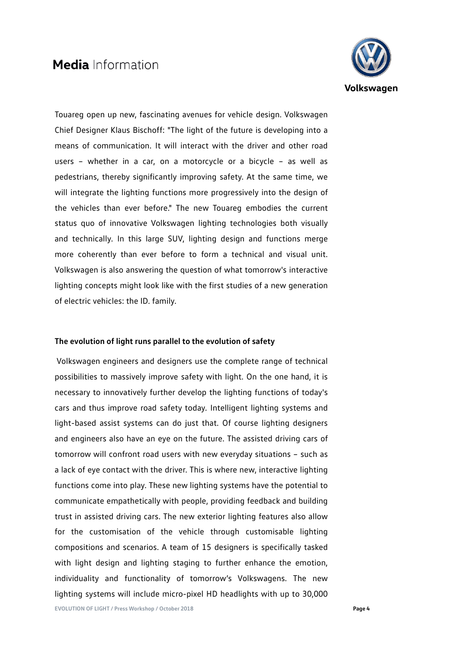

Touareg open up new, fascinating avenues for vehicle design. Volkswagen Chief Designer Klaus Bischoff: "The light of the future is developing into a means of communication. It will interact with the driver and other road users – whether in a car, on a motorcycle or a bicycle – as well as pedestrians, thereby significantly improving safety. At the same time, we will integrate the lighting functions more progressively into the design of the vehicles than ever before." The new Touareg embodies the current status quo of innovative Volkswagen lighting technologies both visually and technically. In this large SUV, lighting design and functions merge more coherently than ever before to form a technical and visual unit. Volkswagen is also answering the question of what tomorrow's interactive lighting concepts might look like with the first studies of a new generation of electric vehicles: the ID. family.

### **The evolution of light runs parallel to the evolution of safety**

Volkswagen engineers and designers use the complete range of technical possibilities to massively improve safety with light. On the one hand, it is necessary to innovatively further develop the lighting functions of today's cars and thus improve road safety today. Intelligent lighting systems and light-based assist systems can do just that. Of course lighting designers and engineers also have an eye on the future. The assisted driving cars of tomorrow will confront road users with new everyday situations – such as a lack of eye contact with the driver. This is where new, interactive lighting functions come into play. These new lighting systems have the potential to communicate empathetically with people, providing feedback and building trust in assisted driving cars. The new exterior lighting features also allow for the customisation of the vehicle through customisable lighting compositions and scenarios. A team of 15 designers is specifically tasked with light design and lighting staging to further enhance the emotion, individuality and functionality of tomorrow's Volkswagens. The new lighting systems will include micro-pixel HD headlights with up to 30,000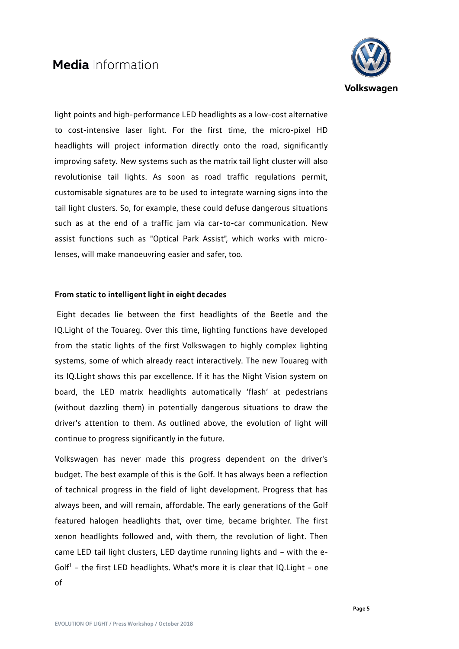

light points and high-performance LED headlights as a low-cost alternative to cost-intensive laser light. For the first time, the micro-pixel HD headlights will project information directly onto the road, significantly improving safety. New systems such as the matrix tail light cluster will also revolutionise tail lights. As soon as road traffic regulations permit, customisable signatures are to be used to integrate warning signs into the tail light clusters. So, for example, these could defuse dangerous situations such as at the end of a traffic jam via car-to-car communication. New assist functions such as "Optical Park Assist", which works with microlenses, will make manoeuvring easier and safer, too.

### **From static to intelligent light in eight decades**

Eight decades lie between the first headlights of the Beetle and the IQ.Light of the Touareg. Over this time, lighting functions have developed from the static lights of the first Volkswagen to highly complex lighting systems, some of which already react interactively. The new Touareg with its IQ.Light shows this par excellence. If it has the Night Vision system on board, the LED matrix headlights automatically 'flash' at pedestrians (without dazzling them) in potentially dangerous situations to draw the driver's attention to them. As outlined above, the evolution of light will continue to progress significantly in the future.

Volkswagen has never made this progress dependent on the driver's budget. The best example of this is the Golf. It has always been a reflection of technical progress in the field of light development. Progress that has always been, and will remain, affordable. The early generations of the Golf featured halogen headlights that, over time, became brighter. The first xenon headlights followed and, with them, the revolution of light. Then came LED tail light clusters, LED daytime running lights and – with the e-Golf<sup>1</sup> - the first LED headlights. What's more it is clear that  $IQ.Light$  - one of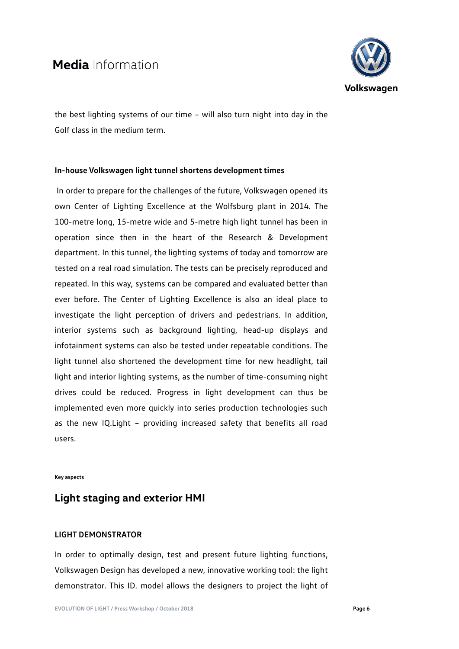

the best lighting systems of our time – will also turn night into day in the Golf class in the medium term.

### **In-house Volkswagen light tunnel shortens development times**

In order to prepare for the challenges of the future, Volkswagen opened its own Center of Lighting Excellence at the Wolfsburg plant in 2014. The 100-metre long, 15-metre wide and 5-metre high light tunnel has been in operation since then in the heart of the Research & Development department. In this tunnel, the lighting systems of today and tomorrow are tested on a real road simulation. The tests can be precisely reproduced and repeated. In this way, systems can be compared and evaluated better than ever before. The Center of Lighting Excellence is also an ideal place to investigate the light perception of drivers and pedestrians. In addition, interior systems such as background lighting, head-up displays and infotainment systems can also be tested under repeatable conditions. The light tunnel also shortened the development time for new headlight, tail light and interior lighting systems, as the number of time-consuming night drives could be reduced. Progress in light development can thus be implemented even more quickly into series production technologies such as the new IQ.Light – providing increased safety that benefits all road users.

### **Key aspects**

## **Light staging and exterior HMI**

### **LIGHT DEMONSTRATOR**

In order to optimally design, test and present future lighting functions, Volkswagen Design has developed a new, innovative working tool: the light demonstrator. This ID. model allows the designers to project the light of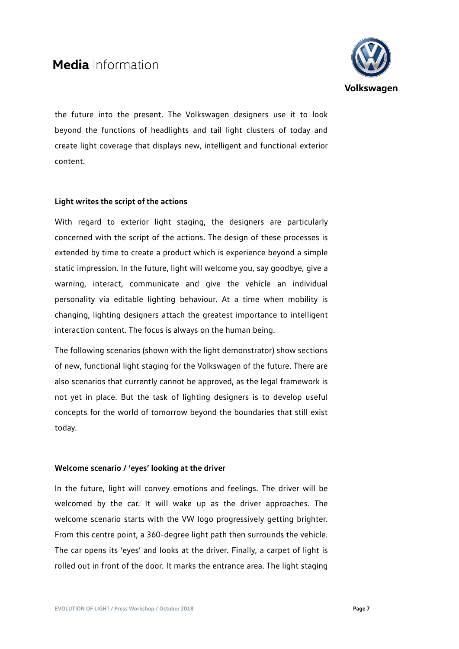

the future into the present. The Volkswagen designers use it to look beyond the functions of headlights and tail light clusters of today and create light coverage that displays new, intelligent and functional exterior content.

### **Light writes the script of the actions**

With regard to exterior light staging, the designers are particularly concerned with the script of the actions. The design of these processes is extended by time to create a product which is experience beyond a simple static impression. In the future, light will welcome you, say goodbye, give a warning, interact, communicate and give the vehicle an individual personality via editable lighting behaviour. At a time when mobility is changing, lighting designers attach the greatest importance to intelligent interaction content. The focus is always on the human being.

The following scenarios (shown with the light demonstrator) show sections of new, functional light staging for the Volkswagen of the future. There are also scenarios that currently cannot be approved, as the legal framework is not yet in place. But the task of lighting designers is to develop useful concepts for the world of tomorrow beyond the boundaries that still exist today.

### **Welcome scenario / 'eyes' looking at the driver**

In the future, light will convey emotions and feelings. The driver will be welcomed by the car. It will wake up as the driver approaches. The welcome scenario starts with the VW logo progressively getting brighter. From this centre point, a 360-degree light path then surrounds the vehicle. The car opens its 'eyes' and looks at the driver. Finally, a carpet of light is rolled out in front of the door. It marks the entrance area. The light staging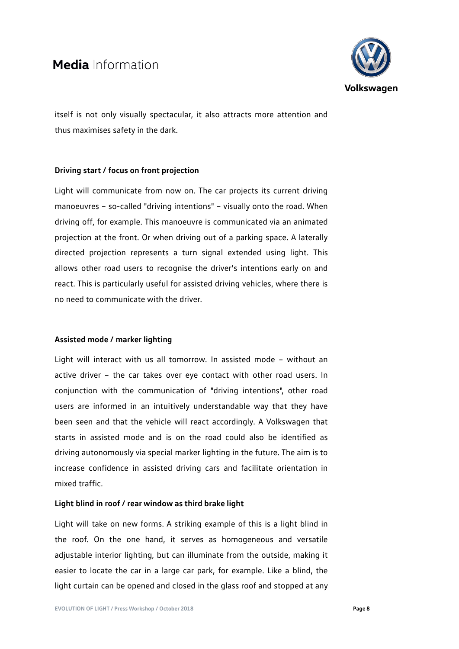

itself is not only visually spectacular, it also attracts more attention and thus maximises safety in the dark.

### **Driving start / focus on front projection**

Light will communicate from now on. The car projects its current driving manoeuvres – so-called "driving intentions" – visually onto the road. When driving off, for example. This manoeuvre is communicated via an animated projection at the front. Or when driving out of a parking space. A laterally directed projection represents a turn signal extended using light. This allows other road users to recognise the driver's intentions early on and react. This is particularly useful for assisted driving vehicles, where there is no need to communicate with the driver.

### **Assisted mode / marker lighting**

Light will interact with us all tomorrow. In assisted mode – without an active driver – the car takes over eye contact with other road users. In conjunction with the communication of "driving intentions", other road users are informed in an intuitively understandable way that they have been seen and that the vehicle will react accordingly. A Volkswagen that starts in assisted mode and is on the road could also be identified as driving autonomously via special marker lighting in the future. The aim is to increase confidence in assisted driving cars and facilitate orientation in mixed traffic.

### **Light blind in roof / rear window as third brake light**

Light will take on new forms. A striking example of this is a light blind in the roof. On the one hand, it serves as homogeneous and versatile adjustable interior lighting, but can illuminate from the outside, making it easier to locate the car in a large car park, for example. Like a blind, the light curtain can be opened and closed in the glass roof and stopped at any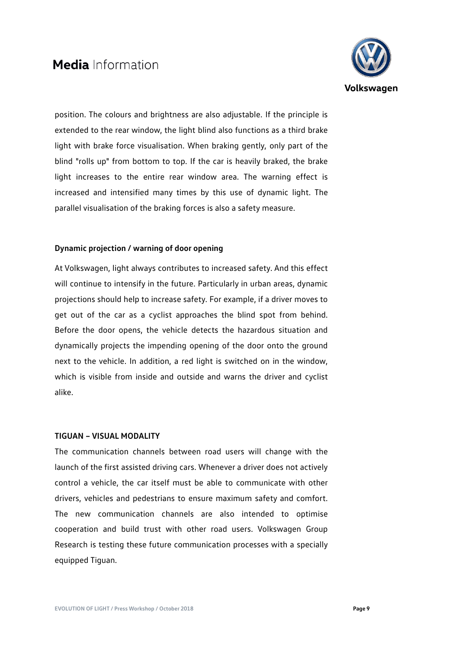

position. The colours and brightness are also adjustable. If the principle is extended to the rear window, the light blind also functions as a third brake light with brake force visualisation. When braking gently, only part of the blind "rolls up" from bottom to top. If the car is heavily braked, the brake light increases to the entire rear window area. The warning effect is increased and intensified many times by this use of dynamic light. The parallel visualisation of the braking forces is also a safety measure.

### **Dynamic projection / warning of door opening**

At Volkswagen, light always contributes to increased safety. And this effect will continue to intensify in the future. Particularly in urban areas, dynamic projections should help to increase safety. For example, if a driver moves to get out of the car as a cyclist approaches the blind spot from behind. Before the door opens, the vehicle detects the hazardous situation and dynamically projects the impending opening of the door onto the ground next to the vehicle. In addition, a red light is switched on in the window, which is visible from inside and outside and warns the driver and cyclist alike.

### **TIGUAN – VISUAL MODALITY**

The communication channels between road users will change with the launch of the first assisted driving cars. Whenever a driver does not actively control a vehicle, the car itself must be able to communicate with other drivers, vehicles and pedestrians to ensure maximum safety and comfort. The new communication channels are also intended to optimise cooperation and build trust with other road users. Volkswagen Group Research is testing these future communication processes with a specially equipped Tiguan.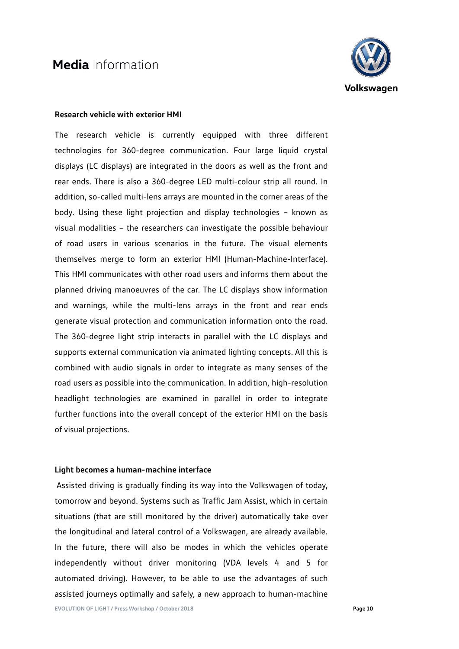

### **Research vehicle with exterior HMI**

The research vehicle is currently equipped with three different technologies for 360-degree communication. Four large liquid crystal displays (LC displays) are integrated in the doors as well as the front and rear ends. There is also a 360-degree LED multi-colour strip all round. In addition, so-called multi-lens arrays are mounted in the corner areas of the body. Using these light projection and display technologies – known as visual modalities – the researchers can investigate the possible behaviour of road users in various scenarios in the future. The visual elements themselves merge to form an exterior HMI (Human-Machine-Interface). This HMI communicates with other road users and informs them about the planned driving manoeuvres of the car. The LC displays show information and warnings, while the multi-lens arrays in the front and rear ends generate visual protection and communication information onto the road. The 360-degree light strip interacts in parallel with the LC displays and supports external communication via animated lighting concepts. All this is combined with audio signals in order to integrate as many senses of the road users as possible into the communication. In addition, high-resolution headlight technologies are examined in parallel in order to integrate further functions into the overall concept of the exterior HMI on the basis of visual projections.

### **Light becomes a human-machine interface**

Assisted driving is gradually finding its way into the Volkswagen of today, tomorrow and beyond. Systems such as Traffic Jam Assist, which in certain situations (that are still monitored by the driver) automatically take over the longitudinal and lateral control of a Volkswagen, are already available. In the future, there will also be modes in which the vehicles operate independently without driver monitoring (VDA levels 4 and 5 for automated driving). However, to be able to use the advantages of such assisted journeys optimally and safely, a new approach to human-machine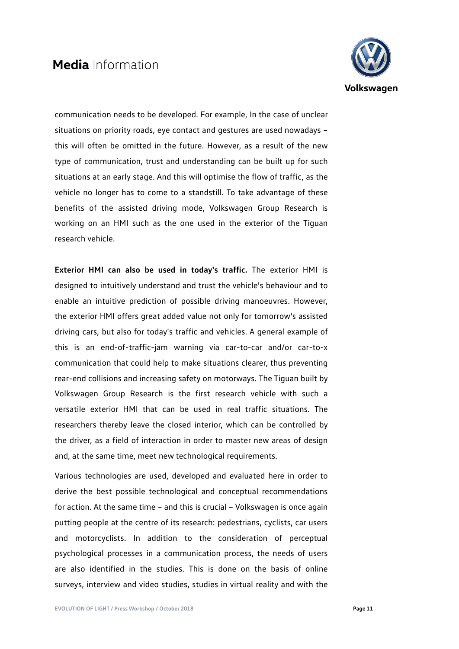

communication needs to be developed. For example, In the case of unclear situations on priority roads, eye contact and gestures are used nowadays – this will often be omitted in the future. However, as a result of the new type of communication, trust and understanding can be built up for such situations at an early stage. And this will optimise the flow of traffic, as the vehicle no longer has to come to a standstill. To take advantage of these benefits of the assisted driving mode, Volkswagen Group Research is working on an HMI such as the one used in the exterior of the Tiguan research vehicle.

**Exterior HMI can also be used in today's traffic.** The exterior HMI is designed to intuitively understand and trust the vehicle's behaviour and to enable an intuitive prediction of possible driving manoeuvres. However, the exterior HMI offers great added value not only for tomorrow's assisted driving cars, but also for today's traffic and vehicles. A general example of this is an end-of-traffic-jam warning via car-to-car and/or car-to-x communication that could help to make situations clearer, thus preventing rear-end collisions and increasing safety on motorways. The Tiguan built by Volkswagen Group Research is the first research vehicle with such a versatile exterior HMI that can be used in real traffic situations. The researchers thereby leave the closed interior, which can be controlled by the driver, as a field of interaction in order to master new areas of design and, at the same time, meet new technological requirements.

Various technologies are used, developed and evaluated here in order to derive the best possible technological and conceptual recommendations for action. At the same time – and this is crucial – Volkswagen is once again putting people at the centre of its research: pedestrians, cyclists, car users and motorcyclists. In addition to the consideration of perceptual psychological processes in a communication process, the needs of users are also identified in the studies. This is done on the basis of online surveys, interview and video studies, studies in virtual reality and with the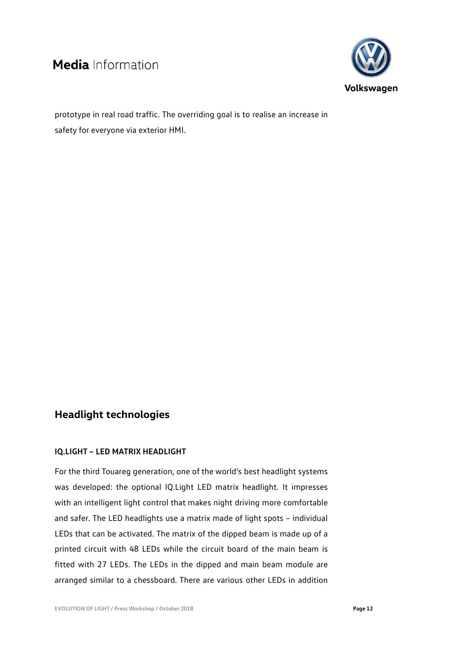

prototype in real road traffic. The overriding goal is to realise an increase in safety for everyone via exterior HMI.

## **Headlight technologies**

### **IQ.LIGHT – LED MATRIX HEADLIGHT**

For the third Touareg generation, one of the world's best headlight systems was developed: the optional IQ.Light LED matrix headlight. It impresses with an intelligent light control that makes night driving more comfortable and safer. The LED headlights use a matrix made of light spots – individual LEDs that can be activated. The matrix of the dipped beam is made up of a printed circuit with 48 LEDs while the circuit board of the main beam is fitted with 27 LEDs. The LEDs in the dipped and main beam module are arranged similar to a chessboard. There are various other LEDs in addition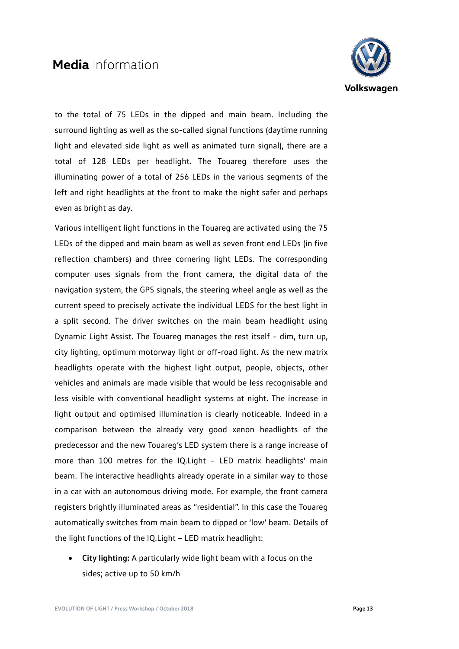

to the total of 75 LEDs in the dipped and main beam. Including the surround lighting as well as the so-called signal functions (daytime running light and elevated side light as well as animated turn signal), there are a total of 128 LEDs per headlight. The Touareg therefore uses the illuminating power of a total of 256 LEDs in the various segments of the left and right headlights at the front to make the night safer and perhaps even as bright as day.

Various intelligent light functions in the Touareg are activated using the 75 LEDs of the dipped and main beam as well as seven front end LEDs (in five reflection chambers) and three cornering light LEDs. The corresponding computer uses signals from the front camera, the digital data of the navigation system, the GPS signals, the steering wheel angle as well as the current speed to precisely activate the individual LEDS for the best light in a split second. The driver switches on the main beam headlight using Dynamic Light Assist. The Touareg manages the rest itself – dim, turn up, city lighting, optimum motorway light or off-road light. As the new matrix headlights operate with the highest light output, people, objects, other vehicles and animals are made visible that would be less recognisable and less visible with conventional headlight systems at night. The increase in light output and optimised illumination is clearly noticeable. Indeed in a comparison between the already very good xenon headlights of the predecessor and the new Touareg's LED system there is a range increase of more than 100 metres for the IQ.Light – LED matrix headlights' main beam. The interactive headlights already operate in a similar way to those in a car with an autonomous driving mode. For example, the front camera registers brightly illuminated areas as "residential". In this case the Touareg automatically switches from main beam to dipped or 'low' beam. Details of the light functions of the IQ.Light – LED matrix headlight:

• **City lighting:** A particularly wide light beam with a focus on the sides; active up to 50 km/h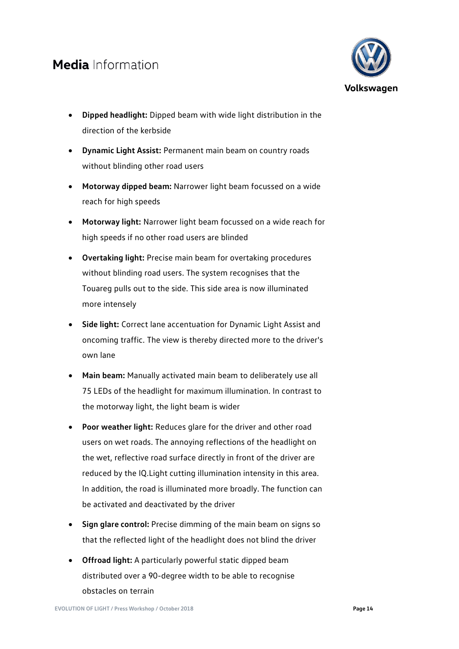

- **Dipped headlight:** Dipped beam with wide light distribution in the direction of the kerbside
- **Dynamic Light Assist:** Permanent main beam on country roads without blinding other road users
- **Motorway dipped beam:** Narrower light beam focussed on a wide reach for high speeds
- **Motorway light:** Narrower light beam focussed on a wide reach for high speeds if no other road users are blinded
- **Overtaking light:** Precise main beam for overtaking procedures without blinding road users. The system recognises that the Touareg pulls out to the side. This side area is now illuminated more intensely
- **Side light:** Correct lane accentuation for Dynamic Light Assist and oncoming traffic. The view is thereby directed more to the driver's own lane
- **Main beam:** Manually activated main beam to deliberately use all 75 LEDs of the headlight for maximum illumination. In contrast to the motorway light, the light beam is wider
- **Poor weather light:** Reduces glare for the driver and other road users on wet roads. The annoying reflections of the headlight on the wet, reflective road surface directly in front of the driver are reduced by the IQ.Light cutting illumination intensity in this area. In addition, the road is illuminated more broadly. The function can be activated and deactivated by the driver
- **Sign glare control:** Precise dimming of the main beam on signs so that the reflected light of the headlight does not blind the driver
- **Offroad light:** A particularly powerful static dipped beam distributed over a 90-degree width to be able to recognise obstacles on terrain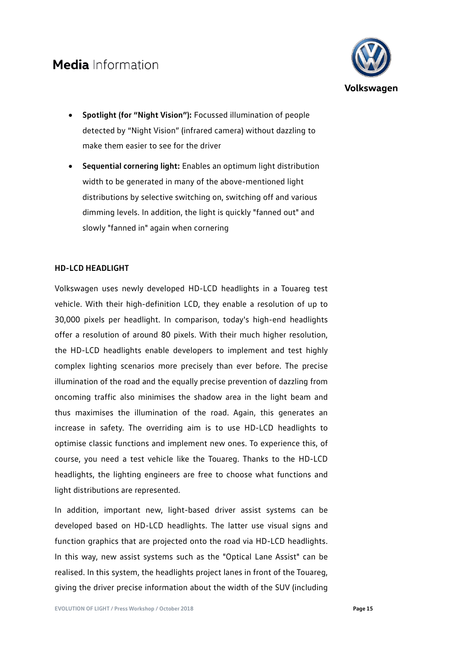

- **Spotlight (for "Night Vision"):** Focussed illumination of people detected by "Night Vision" (infrared camera) without dazzling to make them easier to see for the driver
- **Sequential cornering light:** Enables an optimum light distribution width to be generated in many of the above-mentioned light distributions by selective switching on, switching off and various dimming levels. In addition, the light is quickly "fanned out" and slowly "fanned in" again when cornering

### **HD-LCD HEADLIGHT**

Volkswagen uses newly developed HD-LCD headlights in a Touareg test vehicle. With their high-definition LCD, they enable a resolution of up to 30,000 pixels per headlight. In comparison, today's high-end headlights offer a resolution of around 80 pixels. With their much higher resolution, the HD-LCD headlights enable developers to implement and test highly complex lighting scenarios more precisely than ever before. The precise illumination of the road and the equally precise prevention of dazzling from oncoming traffic also minimises the shadow area in the light beam and thus maximises the illumination of the road. Again, this generates an increase in safety. The overriding aim is to use HD-LCD headlights to optimise classic functions and implement new ones. To experience this, of course, you need a test vehicle like the Touareg. Thanks to the HD-LCD headlights, the lighting engineers are free to choose what functions and light distributions are represented.

In addition, important new, light-based driver assist systems can be developed based on HD-LCD headlights. The latter use visual signs and function graphics that are projected onto the road via HD-LCD headlights. In this way, new assist systems such as the "Optical Lane Assist" can be realised. In this system, the headlights project lanes in front of the Touareg, giving the driver precise information about the width of the SUV (including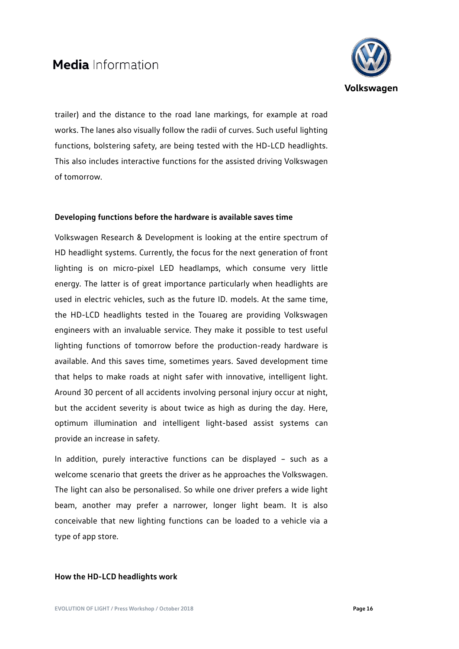

trailer) and the distance to the road lane markings, for example at road works. The lanes also visually follow the radii of curves. Such useful lighting functions, bolstering safety, are being tested with the HD-LCD headlights. This also includes interactive functions for the assisted driving Volkswagen of tomorrow.

### **Developing functions before the hardware is available saves time**

Volkswagen Research & Development is looking at the entire spectrum of HD headlight systems. Currently, the focus for the next generation of front lighting is on micro-pixel LED headlamps, which consume very little energy. The latter is of great importance particularly when headlights are used in electric vehicles, such as the future ID. models. At the same time, the HD-LCD headlights tested in the Touareg are providing Volkswagen engineers with an invaluable service. They make it possible to test useful lighting functions of tomorrow before the production-ready hardware is available. And this saves time, sometimes years. Saved development time that helps to make roads at night safer with innovative, intelligent light. Around 30 percent of all accidents involving personal injury occur at night, but the accident severity is about twice as high as during the day. Here, optimum illumination and intelligent light-based assist systems can provide an increase in safety.

In addition, purely interactive functions can be displayed – such as a welcome scenario that greets the driver as he approaches the Volkswagen. The light can also be personalised. So while one driver prefers a wide light beam, another may prefer a narrower, longer light beam. It is also conceivable that new lighting functions can be loaded to a vehicle via a type of app store.

### **How the HD-LCD headlights work**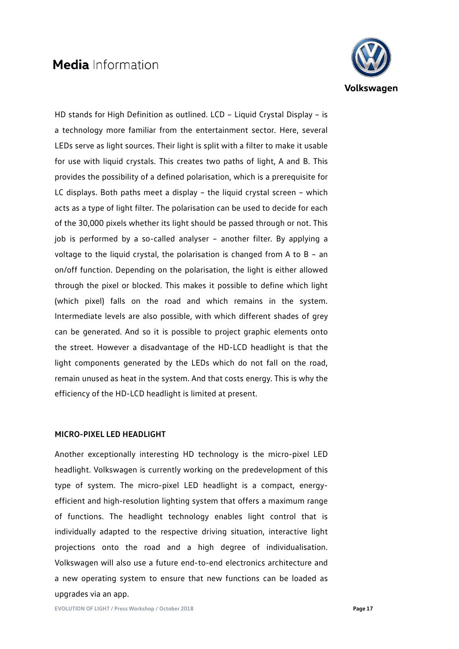

HD stands for High Definition as outlined. LCD – Liquid Crystal Display – is a technology more familiar from the entertainment sector. Here, several LEDs serve as light sources. Their light is split with a filter to make it usable for use with liquid crystals. This creates two paths of light, A and B. This provides the possibility of a defined polarisation, which is a prerequisite for LC displays. Both paths meet a display – the liquid crystal screen – which acts as a type of light filter. The polarisation can be used to decide for each of the 30,000 pixels whether its light should be passed through or not. This job is performed by a so-called analyser – another filter. By applying a voltage to the liquid crystal, the polarisation is changed from A to B – an on/off function. Depending on the polarisation, the light is either allowed through the pixel or blocked. This makes it possible to define which light (which pixel) falls on the road and which remains in the system. Intermediate levels are also possible, with which different shades of grey can be generated. And so it is possible to project graphic elements onto the street. However a disadvantage of the HD-LCD headlight is that the light components generated by the LEDs which do not fall on the road, remain unused as heat in the system. And that costs energy. This is why the efficiency of the HD-LCD headlight is limited at present.

### **MICRO-PIXEL LED HEADLIGHT**

Another exceptionally interesting HD technology is the micro-pixel LED headlight. Volkswagen is currently working on the predevelopment of this type of system. The micro-pixel LED headlight is a compact, energyefficient and high-resolution lighting system that offers a maximum range of functions. The headlight technology enables light control that is individually adapted to the respective driving situation, interactive light projections onto the road and a high degree of individualisation. Volkswagen will also use a future end-to-end electronics architecture and a new operating system to ensure that new functions can be loaded as upgrades via an app.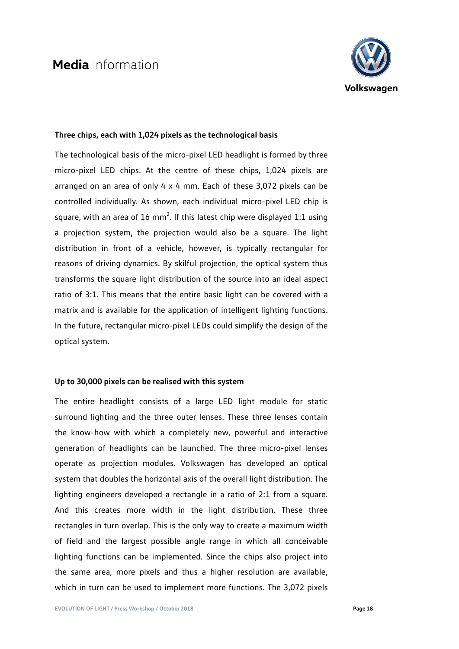

### **Three chips, each with 1,024 pixels as the technological basis**

The technological basis of the micro-pixel LED headlight is formed by three micro-pixel LED chips. At the centre of these chips, 1,024 pixels are arranged on an area of only 4 x 4 mm. Each of these 3,072 pixels can be controlled individually. As shown, each individual micro-pixel LED chip is square, with an area of 16 mm<sup>2</sup>. If this latest chip were displayed 1:1 using a projection system, the projection would also be a square. The light distribution in front of a vehicle, however, is typically rectangular for reasons of driving dynamics. By skilful projection, the optical system thus transforms the square light distribution of the source into an ideal aspect ratio of 3:1. This means that the entire basic light can be covered with a matrix and is available for the application of intelligent lighting functions. In the future, rectangular micro-pixel LEDs could simplify the design of the optical system.

### **Up to 30,000 pixels can be realised with this system**

The entire headlight consists of a large LED light module for static surround lighting and the three outer lenses. These three lenses contain the know-how with which a completely new, powerful and interactive generation of headlights can be launched. The three micro-pixel lenses operate as projection modules. Volkswagen has developed an optical system that doubles the horizontal axis of the overall light distribution. The lighting engineers developed a rectangle in a ratio of 2:1 from a square. And this creates more width in the light distribution. These three rectangles in turn overlap. This is the only way to create a maximum width of field and the largest possible angle range in which all conceivable lighting functions can be implemented. Since the chips also project into the same area, more pixels and thus a higher resolution are available, which in turn can be used to implement more functions. The 3,072 pixels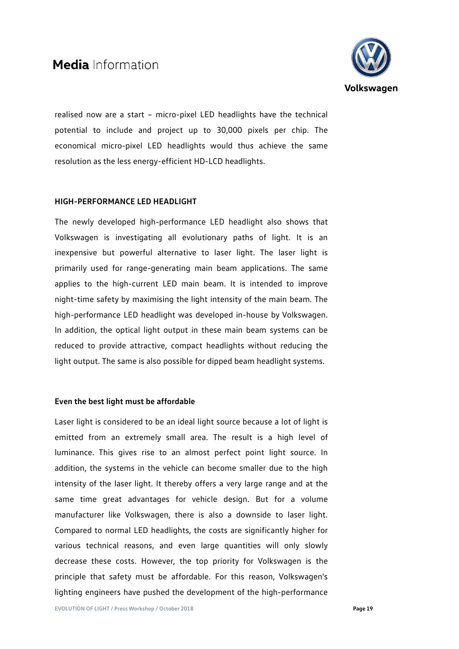

realised now are a start – micro-pixel LED headlights have the technical potential to include and project up to 30,000 pixels per chip. The economical micro-pixel LED headlights would thus achieve the same resolution as the less energy-efficient HD-LCD headlights.

### **HIGH-PERFORMANCE LED HEADLIGHT**

The newly developed high-performance LED headlight also shows that Volkswagen is investigating all evolutionary paths of light. It is an inexpensive but powerful alternative to laser light. The laser light is primarily used for range-generating main beam applications. The same applies to the high-current LED main beam. It is intended to improve night-time safety by maximising the light intensity of the main beam. The high-performance LED headlight was developed in-house by Volkswagen. In addition, the optical light output in these main beam systems can be reduced to provide attractive, compact headlights without reducing the light output. The same is also possible for dipped beam headlight systems.

### **Even the best light must be affordable**

Laser light is considered to be an ideal light source because a lot of light is emitted from an extremely small area. The result is a high level of luminance. This gives rise to an almost perfect point light source. In addition, the systems in the vehicle can become smaller due to the high intensity of the laser light. It thereby offers a very large range and at the same time great advantages for vehicle design. But for a volume manufacturer like Volkswagen, there is also a downside to laser light. Compared to normal LED headlights, the costs are significantly higher for various technical reasons, and even large quantities will only slowly decrease these costs. However, the top priority for Volkswagen is the principle that safety must be affordable. For this reason, Volkswagen's lighting engineers have pushed the development of the high-performance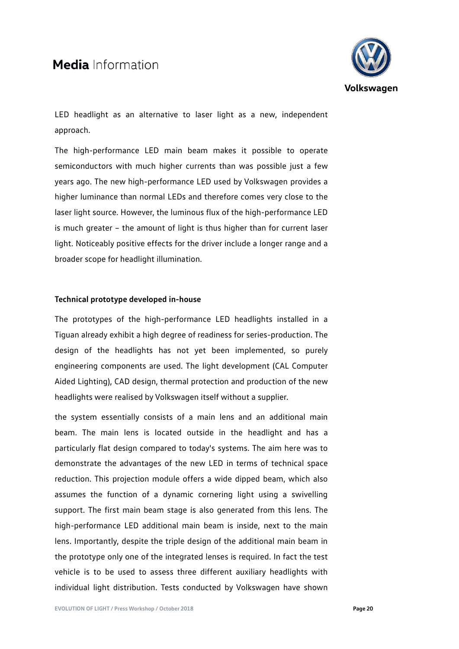

LED headlight as an alternative to laser light as a new, independent approach.

The high-performance LED main beam makes it possible to operate semiconductors with much higher currents than was possible just a few years ago. The new high-performance LED used by Volkswagen provides a higher luminance than normal LEDs and therefore comes very close to the laser light source. However, the luminous flux of the high-performance LED is much greater – the amount of light is thus higher than for current laser light. Noticeably positive effects for the driver include a longer range and a broader scope for headlight illumination.

### **Technical prototype developed in-house**

The prototypes of the high-performance LED headlights installed in a Tiguan already exhibit a high degree of readiness for series-production. The design of the headlights has not yet been implemented, so purely engineering components are used. The light development (CAL Computer Aided Lighting), CAD design, thermal protection and production of the new headlights were realised by Volkswagen itself without a supplier.

the system essentially consists of a main lens and an additional main beam. The main lens is located outside in the headlight and has a particularly flat design compared to today's systems. The aim here was to demonstrate the advantages of the new LED in terms of technical space reduction. This projection module offers a wide dipped beam, which also assumes the function of a dynamic cornering light using a swivelling support. The first main beam stage is also generated from this lens. The high-performance LED additional main beam is inside, next to the main lens. Importantly, despite the triple design of the additional main beam in the prototype only one of the integrated lenses is required. In fact the test vehicle is to be used to assess three different auxiliary headlights with individual light distribution. Tests conducted by Volkswagen have shown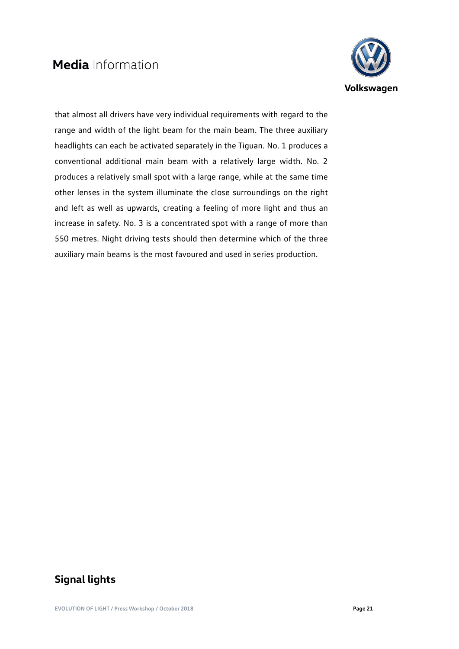

that almost all drivers have very individual requirements with regard to the range and width of the light beam for the main beam. The three auxiliary headlights can each be activated separately in the Tiguan. No. 1 produces a conventional additional main beam with a relatively large width. No. 2 produces a relatively small spot with a large range, while at the same time other lenses in the system illuminate the close surroundings on the right and left as well as upwards, creating a feeling of more light and thus an increase in safety. No. 3 is a concentrated spot with a range of more than 550 metres. Night driving tests should then determine which of the three auxiliary main beams is the most favoured and used in series production.

## **Signal lights**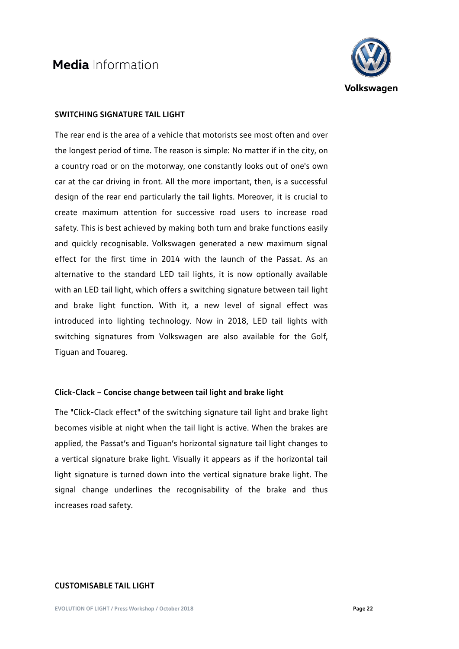

### **SWITCHING SIGNATURE TAIL LIGHT**

The rear end is the area of a vehicle that motorists see most often and over the longest period of time. The reason is simple: No matter if in the city, on a country road or on the motorway, one constantly looks out of one's own car at the car driving in front. All the more important, then, is a successful design of the rear end particularly the tail lights. Moreover, it is crucial to create maximum attention for successive road users to increase road safety. This is best achieved by making both turn and brake functions easily and quickly recognisable. Volkswagen generated a new maximum signal effect for the first time in 2014 with the launch of the Passat. As an alternative to the standard LED tail lights, it is now optionally available with an LED tail light, which offers a switching signature between tail light and brake light function. With it, a new level of signal effect was introduced into lighting technology. Now in 2018, LED tail lights with switching signatures from Volkswagen are also available for the Golf, Tiguan and Touareg.

### **Click-Clack – Concise change between tail light and brake light**

The "Click-Clack effect" of the switching signature tail light and brake light becomes visible at night when the tail light is active. When the brakes are applied, the Passat's and Tiguan's horizontal signature tail light changes to a vertical signature brake light. Visually it appears as if the horizontal tail light signature is turned down into the vertical signature brake light. The signal change underlines the recognisability of the brake and thus increases road safety.

### **CUSTOMISABLE TAIL LIGHT**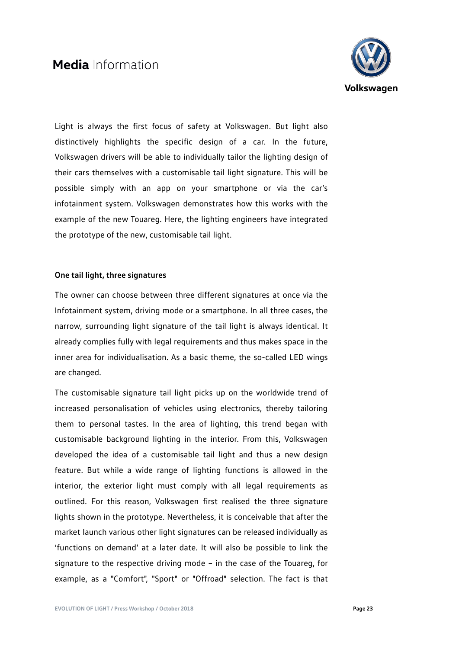

Light is always the first focus of safety at Volkswagen. But light also distinctively highlights the specific design of a car. In the future, Volkswagen drivers will be able to individually tailor the lighting design of their cars themselves with a customisable tail light signature. This will be possible simply with an app on your smartphone or via the car's infotainment system. Volkswagen demonstrates how this works with the example of the new Touareg. Here, the lighting engineers have integrated the prototype of the new, customisable tail light.

### **One tail light, three signatures**

The owner can choose between three different signatures at once via the Infotainment system, driving mode or a smartphone. In all three cases, the narrow, surrounding light signature of the tail light is always identical. It already complies fully with legal requirements and thus makes space in the inner area for individualisation. As a basic theme, the so-called LED wings are changed.

The customisable signature tail light picks up on the worldwide trend of increased personalisation of vehicles using electronics, thereby tailoring them to personal tastes. In the area of lighting, this trend began with customisable background lighting in the interior. From this, Volkswagen developed the idea of a customisable tail light and thus a new design feature. But while a wide range of lighting functions is allowed in the interior, the exterior light must comply with all legal requirements as outlined. For this reason, Volkswagen first realised the three signature lights shown in the prototype. Nevertheless, it is conceivable that after the market launch various other light signatures can be released individually as 'functions on demand' at a later date. It will also be possible to link the signature to the respective driving mode – in the case of the Touareg, for example, as a "Comfort", "Sport" or "Offroad" selection. The fact is that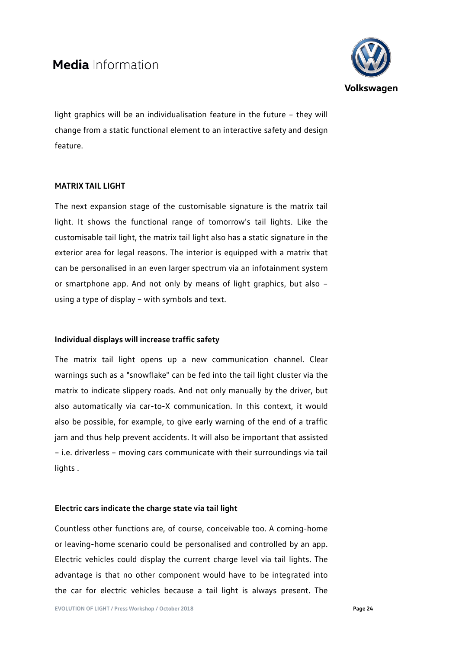

light graphics will be an individualisation feature in the future – they will change from a static functional element to an interactive safety and design feature.

### **MATRIX TAIL LIGHT**

The next expansion stage of the customisable signature is the matrix tail light. It shows the functional range of tomorrow's tail lights. Like the customisable tail light, the matrix tail light also has a static signature in the exterior area for legal reasons. The interior is equipped with a matrix that can be personalised in an even larger spectrum via an infotainment system or smartphone app. And not only by means of light graphics, but also – using a type of display – with symbols and text.

### **Individual displays will increase traffic safety**

The matrix tail light opens up a new communication channel. Clear warnings such as a "snowflake" can be fed into the tail light cluster via the matrix to indicate slippery roads. And not only manually by the driver, but also automatically via car-to-X communication. In this context, it would also be possible, for example, to give early warning of the end of a traffic jam and thus help prevent accidents. It will also be important that assisted – i.e. driverless – moving cars communicate with their surroundings via tail lights .

### **Electric cars indicate the charge state via tail light**

Countless other functions are, of course, conceivable too. A coming-home or leaving-home scenario could be personalised and controlled by an app. Electric vehicles could display the current charge level via tail lights. The advantage is that no other component would have to be integrated into the car for electric vehicles because a tail light is always present. The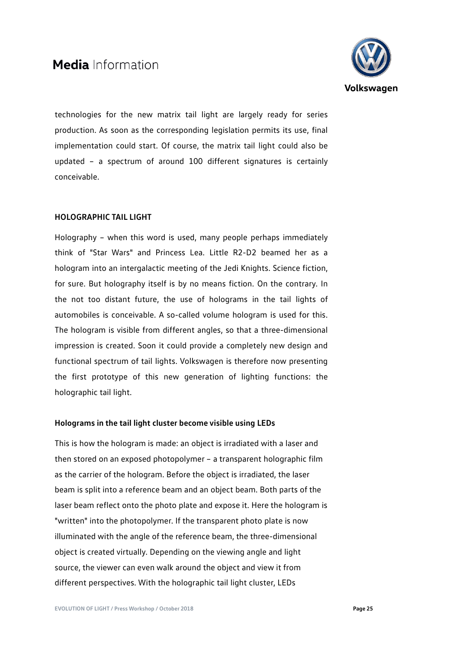

technologies for the new matrix tail light are largely ready for series production. As soon as the corresponding legislation permits its use, final implementation could start. Of course, the matrix tail light could also be updated – a spectrum of around 100 different signatures is certainly conceivable.

### **HOLOGRAPHIC TAIL LIGHT**

Holography – when this word is used, many people perhaps immediately think of "Star Wars" and Princess Lea. Little R2-D2 beamed her as a hologram into an intergalactic meeting of the Jedi Knights. Science fiction, for sure. But holography itself is by no means fiction. On the contrary. In the not too distant future, the use of holograms in the tail lights of automobiles is conceivable. A so-called volume hologram is used for this. The hologram is visible from different angles, so that a three-dimensional impression is created. Soon it could provide a completely new design and functional spectrum of tail lights. Volkswagen is therefore now presenting the first prototype of this new generation of lighting functions: the holographic tail light.

### **Holograms in the tail light cluster become visible using LEDs**

This is how the hologram is made: an object is irradiated with a laser and then stored on an exposed photopolymer – a transparent holographic film as the carrier of the hologram. Before the object is irradiated, the laser beam is split into a reference beam and an object beam. Both parts of the laser beam reflect onto the photo plate and expose it. Here the hologram is "written" into the photopolymer. If the transparent photo plate is now illuminated with the angle of the reference beam, the three-dimensional object is created virtually. Depending on the viewing angle and light source, the viewer can even walk around the object and view it from different perspectives. With the holographic tail light cluster, LEDs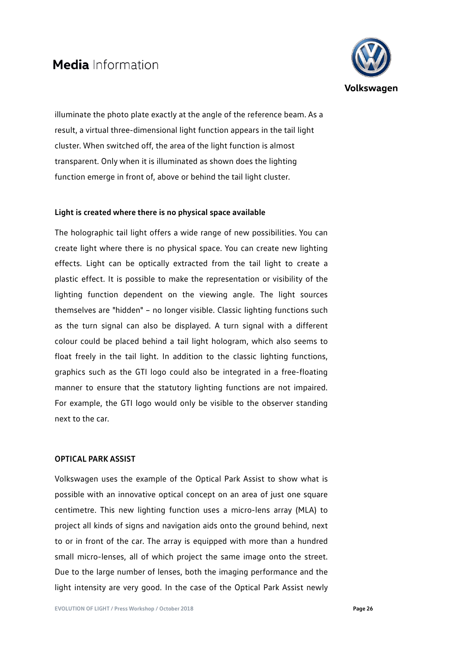

illuminate the photo plate exactly at the angle of the reference beam. As a result, a virtual three-dimensional light function appears in the tail light cluster. When switched off, the area of the light function is almost transparent. Only when it is illuminated as shown does the lighting function emerge in front of, above or behind the tail light cluster.

### **Light is created where there is no physical space available**

The holographic tail light offers a wide range of new possibilities. You can create light where there is no physical space. You can create new lighting effects. Light can be optically extracted from the tail light to create a plastic effect. It is possible to make the representation or visibility of the lighting function dependent on the viewing angle. The light sources themselves are "hidden" – no longer visible. Classic lighting functions such as the turn signal can also be displayed. A turn signal with a different colour could be placed behind a tail light hologram, which also seems to float freely in the tail light. In addition to the classic lighting functions, graphics such as the GTI logo could also be integrated in a free-floating manner to ensure that the statutory lighting functions are not impaired. For example, the GTI logo would only be visible to the observer standing next to the car.

### **OPTICAL PARK ASSIST**

Volkswagen uses the example of the Optical Park Assist to show what is possible with an innovative optical concept on an area of just one square centimetre. This new lighting function uses a micro-lens array (MLA) to project all kinds of signs and navigation aids onto the ground behind, next to or in front of the car. The array is equipped with more than a hundred small micro-lenses, all of which project the same image onto the street. Due to the large number of lenses, both the imaging performance and the light intensity are very good. In the case of the Optical Park Assist newly